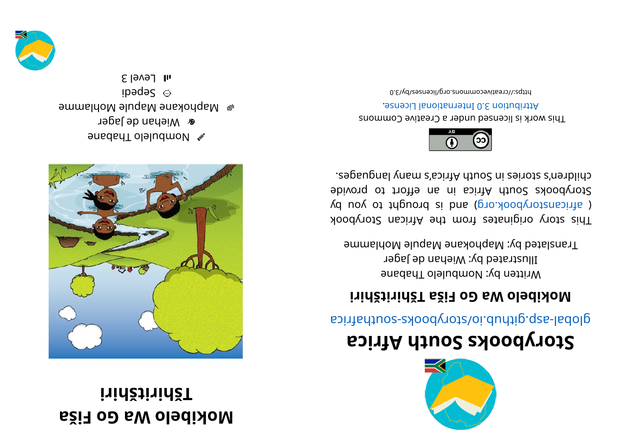## **aši F oG a Wol ebi ko M i ri hšti ri hšT**



enabahan menggalakan penabahan menjadi kerabahan di kecamatan di sebanjar dalam kecamatan dalam kecamatan dian<br>Penabatan **a** Miehan de Jager  $\bullet$  Maphokane Mapule Mohlamme ibədə $S$   $\odot$  $\epsilon$  level 3





## **storybooks South Africa**

aci ri re abological anti-

## **i** ridžtinidžT aži<sub></sub> a oD sW oledidoM

Written by: Nombulelo Thabane Illustrated by: Wiehan de Jager Translated by: Maphokane Mapule Mohlamme

This story originates from the African Storybook ( africanstorybook.org) and is brought to you by storybooks South Africa in an effort to provide chilen's sional yang mahalika mahalika mahalika seba



This work is licensed under a Creative Commons . esnecial lanoit anternational License.

0. E\\d\zestivecommons.org/licensestby/3.0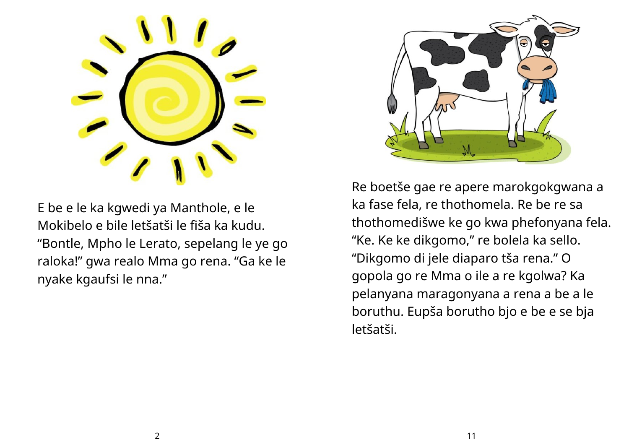

E be e le ka kgwedi ya Manthole, e le Mokibelo e bile letšatši le fiša ka kudu. "Bontle, Mpho le Lerato, sepelang le ye go raloka!" gwa realo Mma go rena. "Ga ke le nyake kgaufsi le nna."



Re boetše gae re apere marokgokgwana a ka fase fela, re thothomela. Re be re sa thothomedišwe ke go kwa phefonyana fela. "Ke. Ke ke dikgomo, " re bolela ka sello. "Dikgomo di jele diaparo tša rena." O gopola go re Mma o ile a re kgolwa? Ka pelanyana maragonyana a rena a be a le boruthu. Eupša borutho bjo e be e se bja letšatši.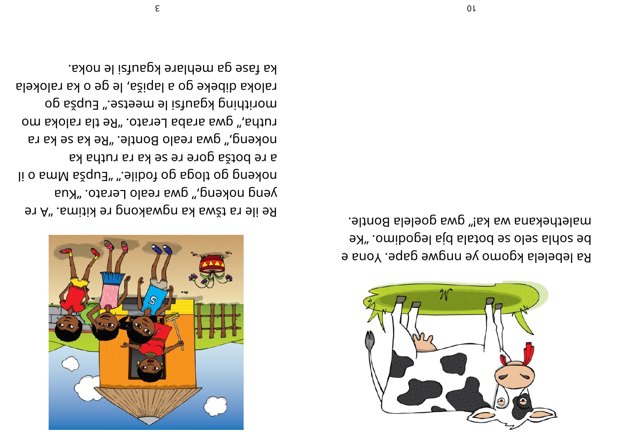

malethekana wa ka!" gwa goelela Bontle. be sopla selo se potala bja legodimo. "Ke Ra lebelela kgomo ye nngwe gape. Yona e

ka fase ga mehlare kgaufsi le noka. raloka dibeke go a lapiša, le ge o ka ralokela morithing kgaufsi le meetse." Eupša go rutha," gwa araba Lerato. "Re tla raloka mo nokeng," gwa realo Bontle. "Re ka se ka ra a re botša gore re se ka ra rutha ka li o smM sžqu∃" ".elibot og spolt og pneslon yeng nokeng," gwa realo Lerato. "Kua 91 A" . Emitix 91 pnoxlawgn sx swžt sn 9li 9R



 $0<sub>l</sub>$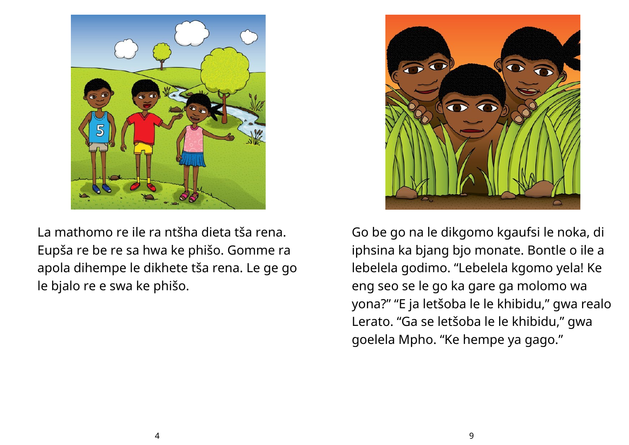

La mathomo re ile ra ntšha dieta tša rena. Eupša re be re sa hwa ke phišo. Gomme ra apola dihempe le dikhete tša rena. Le ge go le bjalo re e swa ke phišo.



Go be go na le dikgomo kgaufsi le noka, di iphsina ka bjang bjo monate. Bontle o ile a lebelela godimo. "Lebelela kgomo yela! Ke eng seo se le go ka gare ga molomo wa yona?" "E ja letšoba le le khibidu, " gwa realo Lerato. "Ga se letšoba le le khibidu, " gwa goelela Mpho. "Ke hempe ya gago."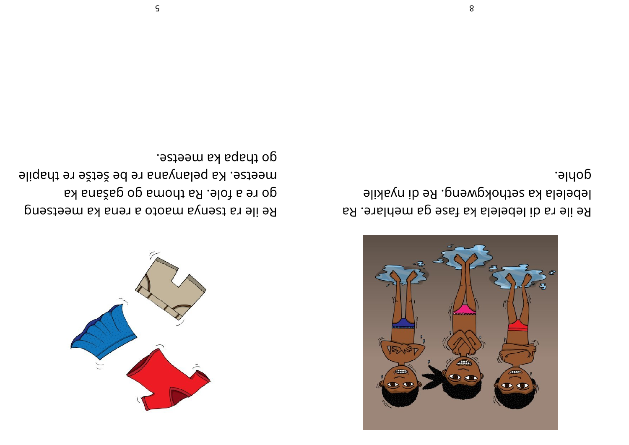

Re ile ra di lebelela ka fase ga mehlare. Ra lebelela ka sethokgweng. Re di nyakile goy<sub>l</sub>e<sup>.</sup>

Re ile ra tsenya maoto a rena ka meetseng go re a fole. Ra thoma go gašana ka meetse. Ka pelanyana re be šetše re thapile . esteen als aparts elects en la passa



8